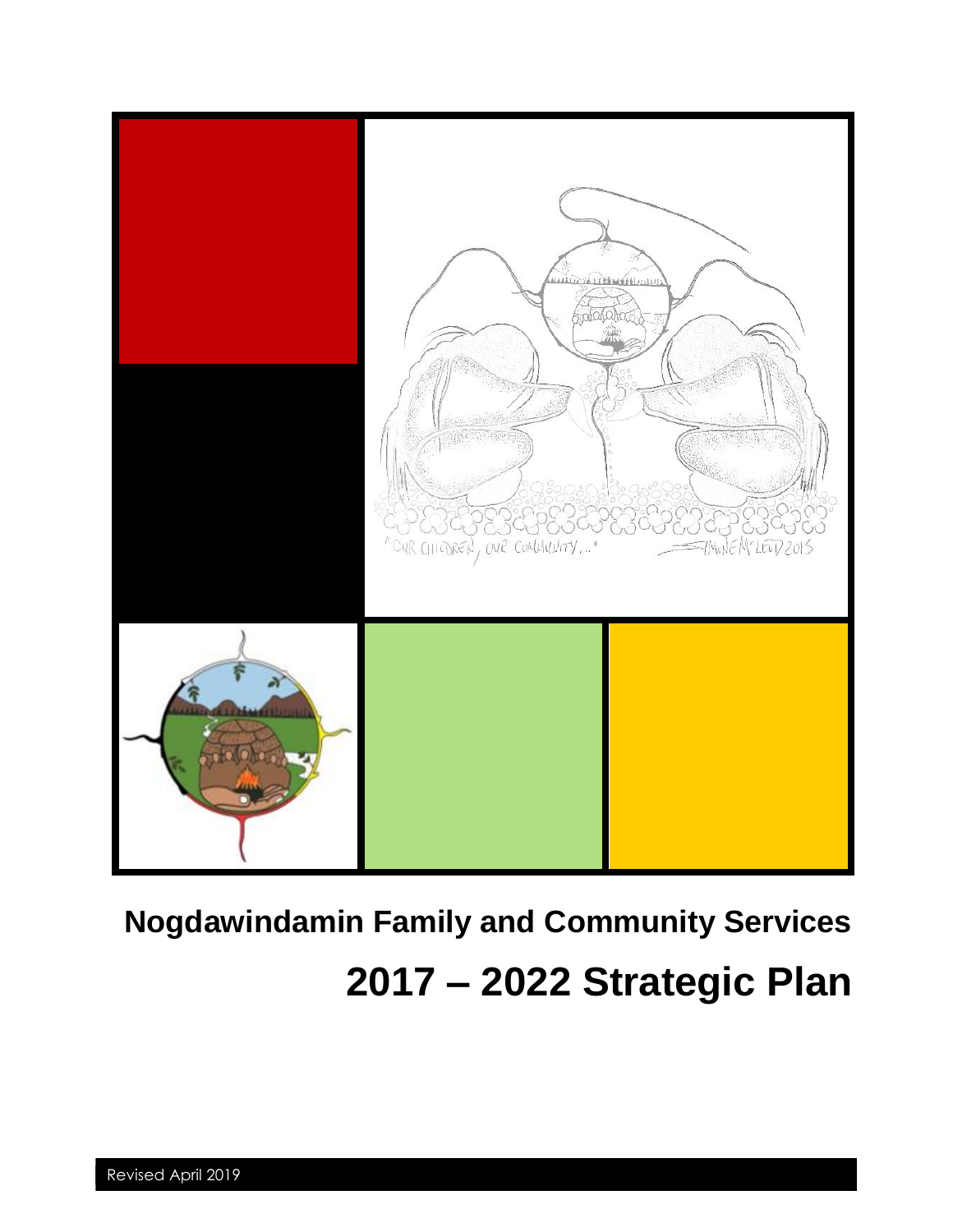

# **Nogdawindamin Family and Community Services**

## **2017 – 2022 Strategic Plan**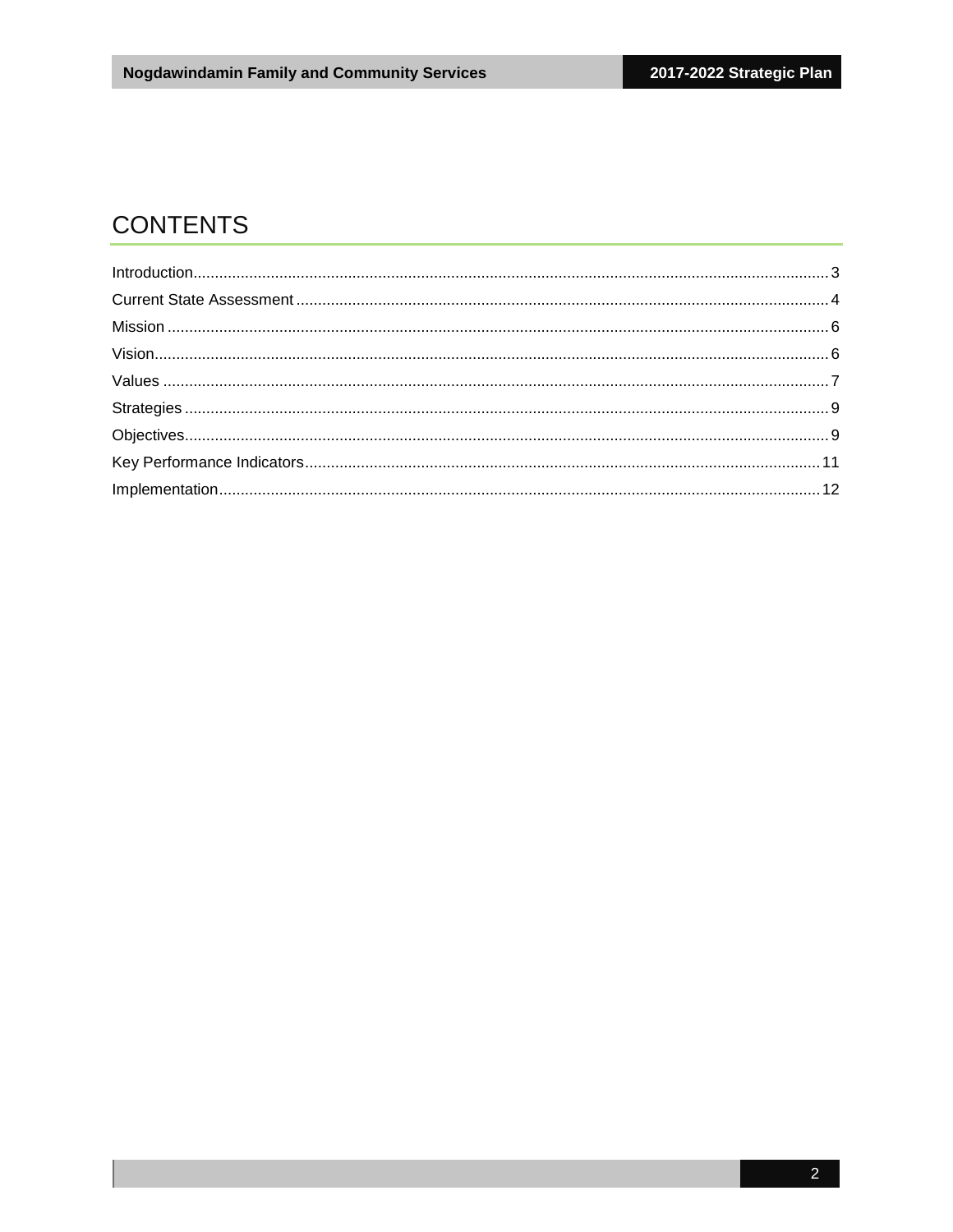## **CONTENTS**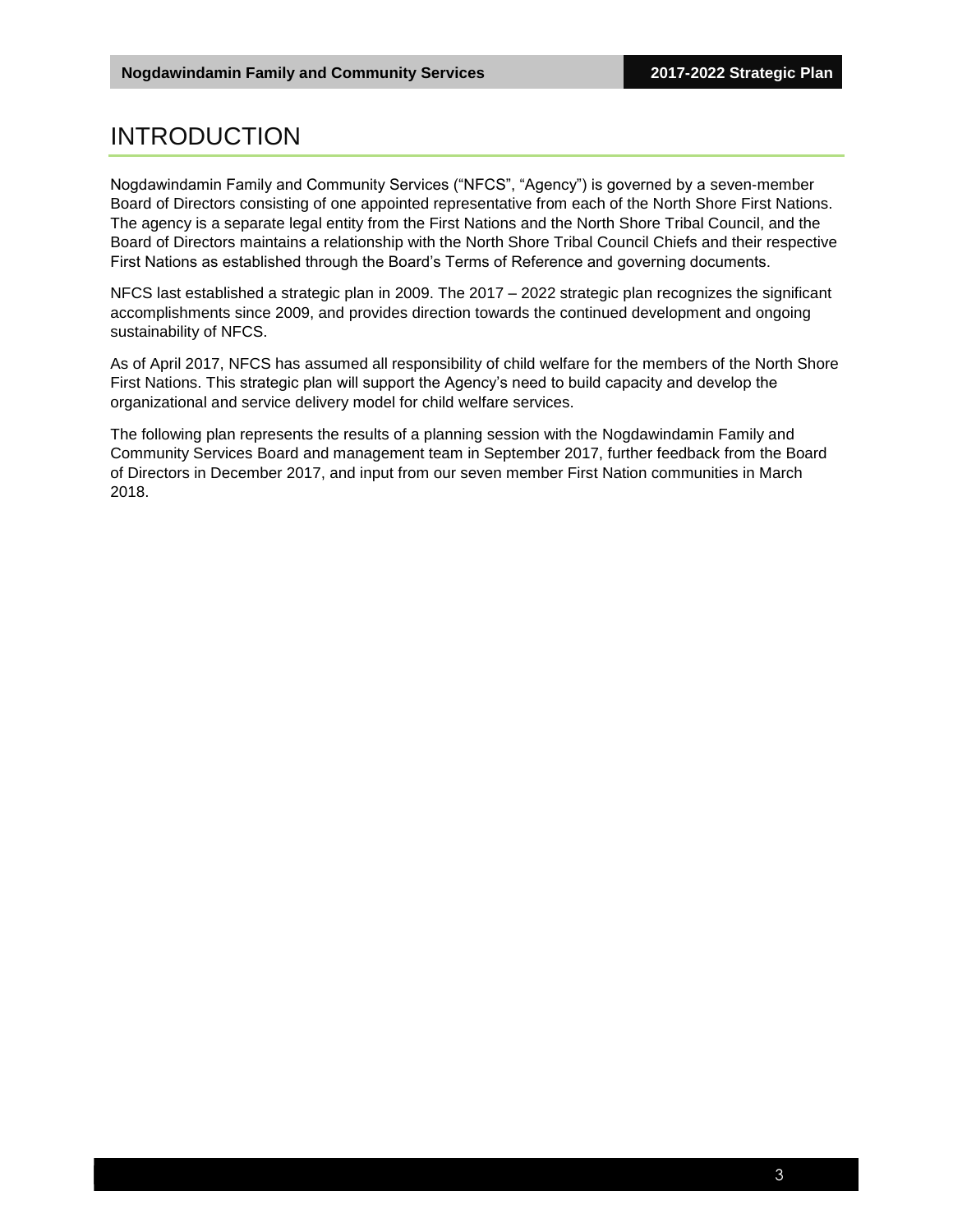## <span id="page-2-0"></span>INTRODUCTION

Nogdawindamin Family and Community Services ("NFCS", "Agency") is governed by a seven-member Board of Directors consisting of one appointed representative from each of the North Shore First Nations. The agency is a separate legal entity from the First Nations and the North Shore Tribal Council, and the Board of Directors maintains a relationship with the North Shore Tribal Council Chiefs and their respective First Nations as established through the Board's Terms of Reference and governing documents.

NFCS last established a strategic plan in 2009. The 2017 – 2022 strategic plan recognizes the significant accomplishments since 2009, and provides direction towards the continued development and ongoing sustainability of NFCS.

As of April 2017, NFCS has assumed all responsibility of child welfare for the members of the North Shore First Nations. This strategic plan will support the Agency's need to build capacity and develop the organizational and service delivery model for child welfare services.

The following plan represents the results of a planning session with the Nogdawindamin Family and Community Services Board and management team in September 2017, further feedback from the Board of Directors in December 2017, and input from our seven member First Nation communities in March 2018.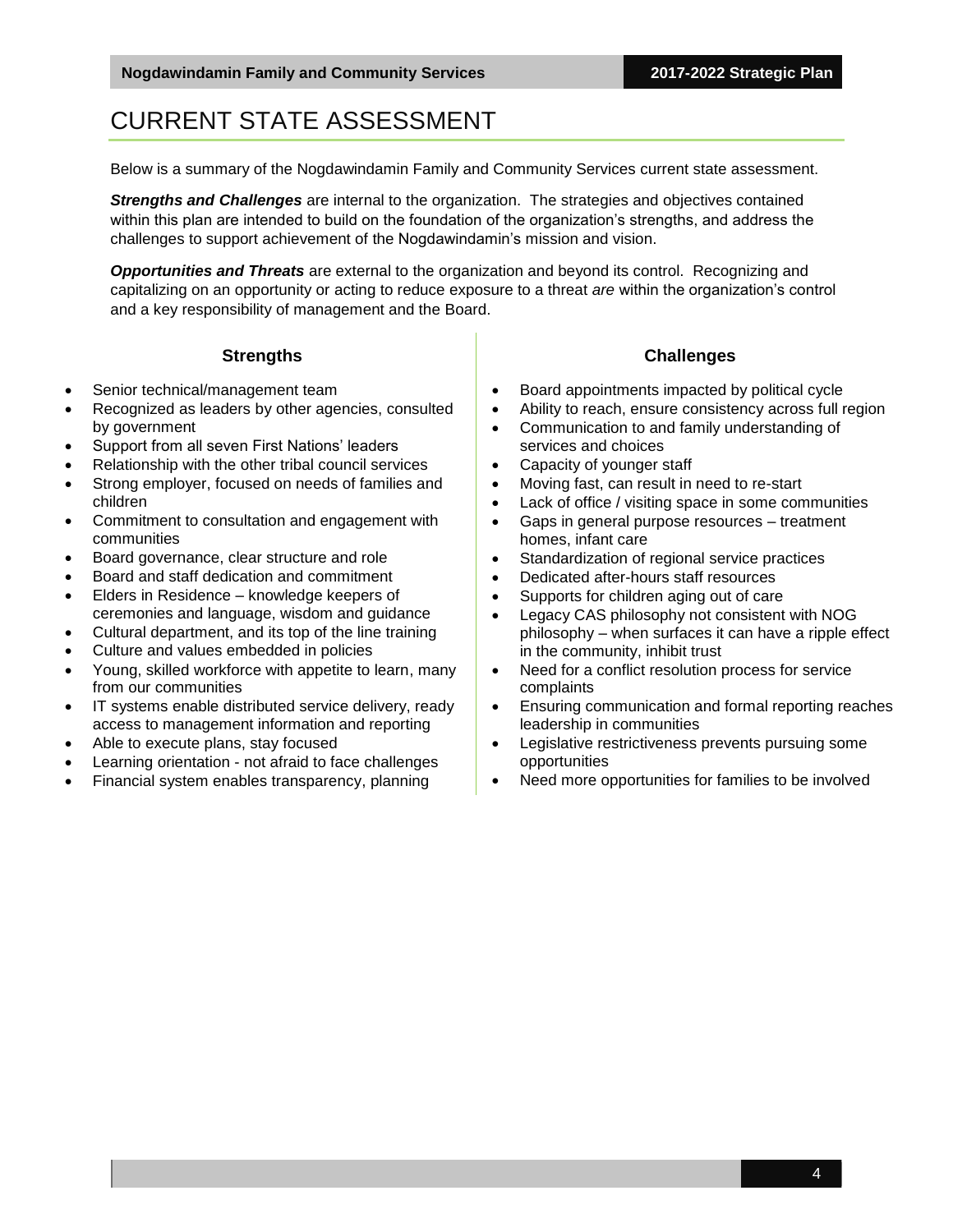## <span id="page-3-0"></span>CURRENT STATE ASSESSMENT

Below is a summary of the Nogdawindamin Family and Community Services current state assessment.

*Strengths and Challenges* are internal to the organization. The strategies and objectives contained within this plan are intended to build on the foundation of the organization's strengths, and address the challenges to support achievement of the Nogdawindamin's mission and vision.

*Opportunities and Threats* are external to the organization and beyond its control. Recognizing and capitalizing on an opportunity or acting to reduce exposure to a threat *are* within the organization's control and a key responsibility of management and the Board.

#### **Strengths**

- Senior technical/management team
- Recognized as leaders by other agencies, consulted by government
- Support from all seven First Nations' leaders
- Relationship with the other tribal council services
- Strong employer, focused on needs of families and children
- Commitment to consultation and engagement with communities
- Board governance, clear structure and role
- Board and staff dedication and commitment
- Elders in Residence knowledge keepers of ceremonies and language, wisdom and guidance
- Cultural department, and its top of the line training
- Culture and values embedded in policies
- Young, skilled workforce with appetite to learn, many from our communities
- IT systems enable distributed service delivery, ready access to management information and reporting
- Able to execute plans, stay focused
- Learning orientation not afraid to face challenges
- Financial system enables transparency, planning
- **Challenges**
- Board appointments impacted by political cycle
- Ability to reach, ensure consistency across full region
- Communication to and family understanding of services and choices
- Capacity of younger staff
- Moving fast, can result in need to re-start
- Lack of office / visiting space in some communities
- Gaps in general purpose resources treatment homes, infant care
- Standardization of regional service practices
- Dedicated after-hours staff resources
- Supports for children aging out of care
- Legacy CAS philosophy not consistent with NOG philosophy – when surfaces it can have a ripple effect in the community, inhibit trust
- Need for a conflict resolution process for service complaints
- Ensuring communication and formal reporting reaches leadership in communities
- Legislative restrictiveness prevents pursuing some opportunities
- Need more opportunities for families to be involved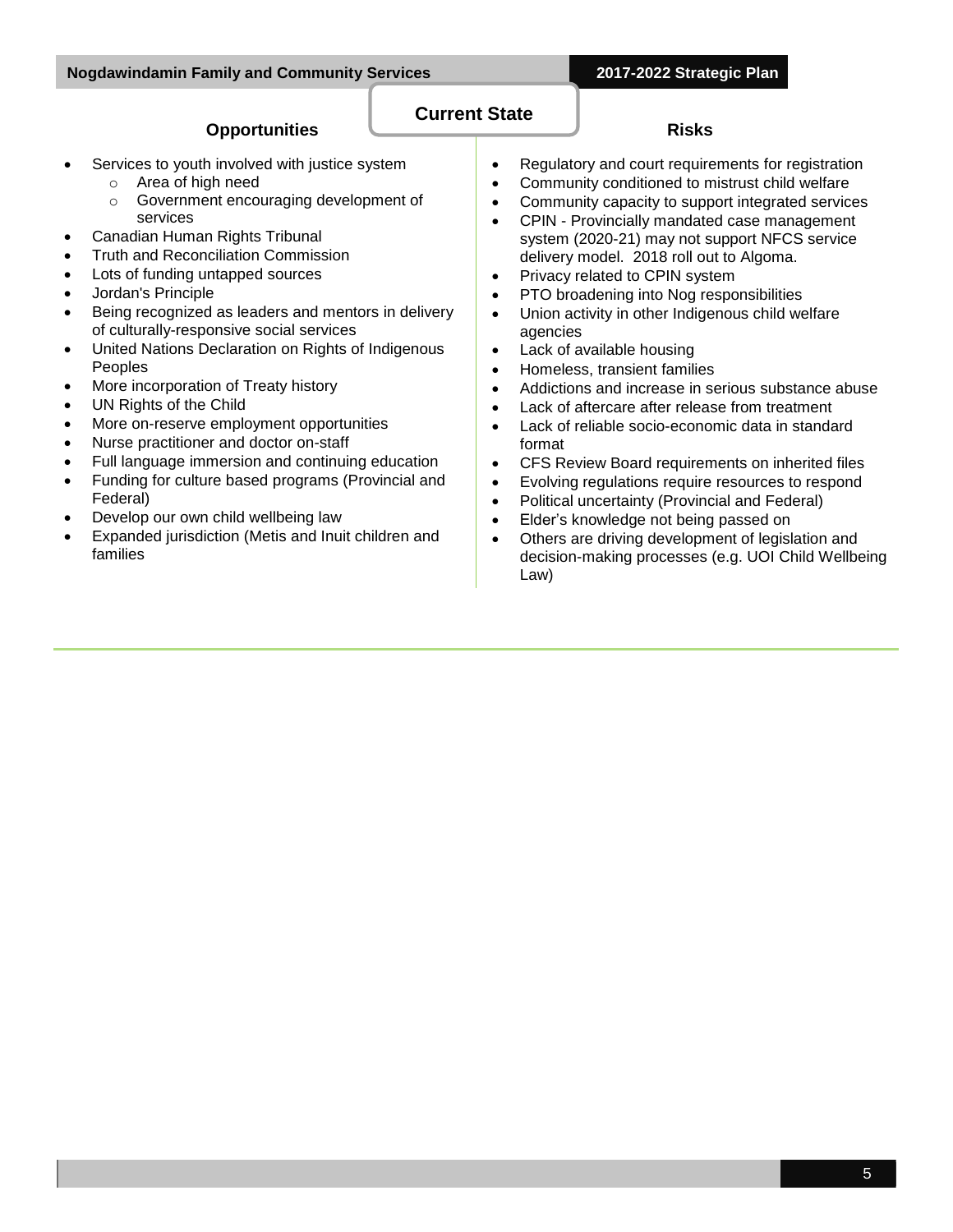#### **Opportunities**

- Services to youth involved with justice system
	- o Area of high need
	- o Government encouraging development of services
- Canadian Human Rights Tribunal
- Truth and Reconciliation Commission
- Lots of funding untapped sources
- Jordan's Principle
- Being recognized as leaders and mentors in delivery of culturally-responsive social services
- United Nations Declaration on Rights of Indigenous Peoples
- More incorporation of Treaty history
- UN Rights of the Child
- More on-reserve employment opportunities
- Nurse practitioner and doctor on-staff
- Full language immersion and continuing education
- Funding for culture based programs (Provincial and Federal)
- Develop our own child wellbeing law
- Expanded jurisdiction (Metis and Inuit children and families
- **Risks**
- Regulatory and court requirements for registration
- Community conditioned to mistrust child welfare
- Community capacity to support integrated services
- CPIN Provincially mandated case management system (2020-21) may not support NFCS service delivery model. 2018 roll out to Algoma.
- Privacy related to CPIN system
- PTO broadening into Nog responsibilities
- Union activity in other Indigenous child welfare agencies
- Lack of available housing

**Current State**

- Homeless, transient families
- Addictions and increase in serious substance abuse
- Lack of aftercare after release from treatment
- Lack of reliable socio-economic data in standard format
- CFS Review Board requirements on inherited files
- Evolving regulations require resources to respond
- Political uncertainty (Provincial and Federal)
- Elder's knowledge not being passed on
- Others are driving development of legislation and decision-making processes (e.g. UOI Child Wellbeing Law)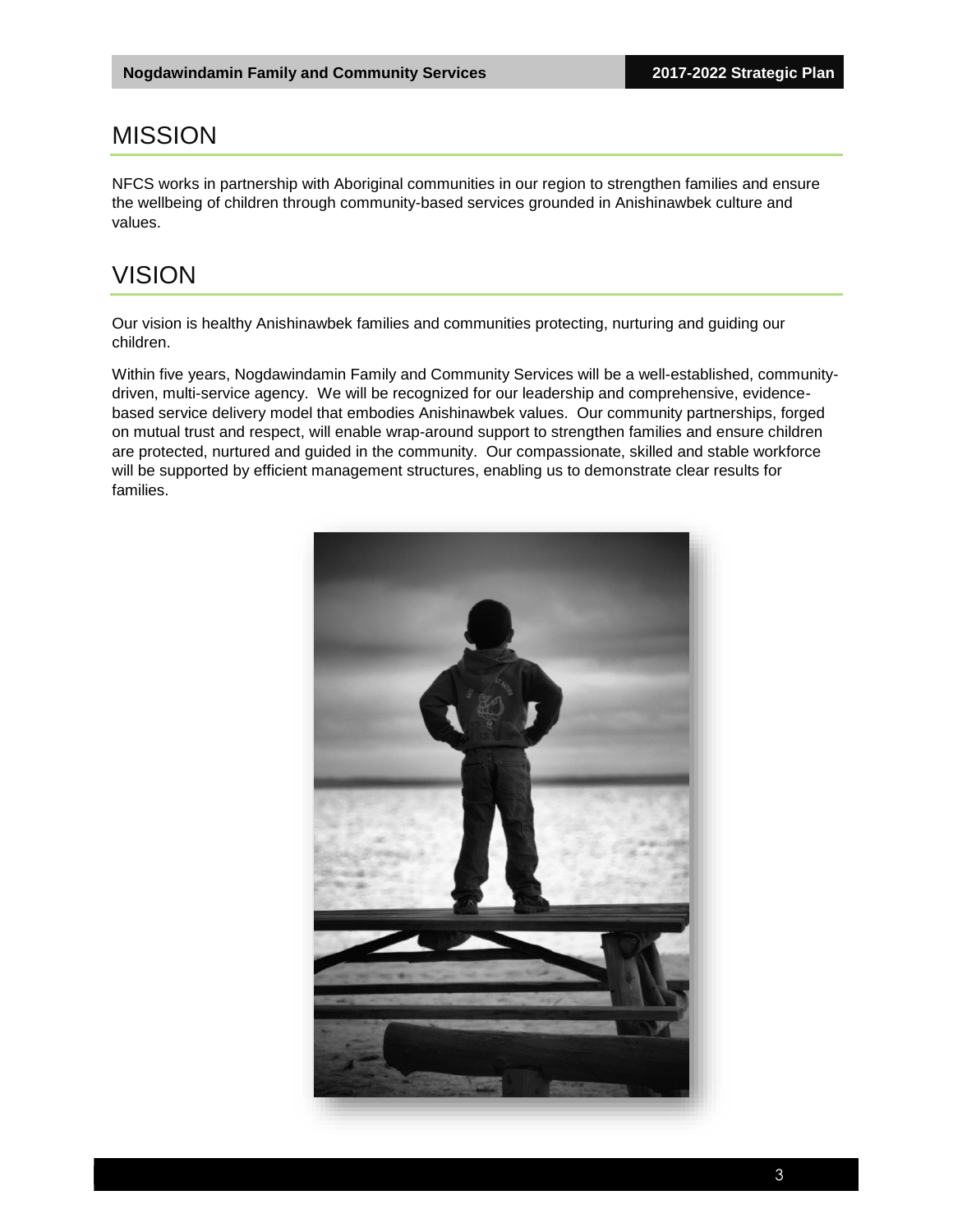#### <span id="page-5-0"></span>MISSION

NFCS works in partnership with Aboriginal communities in our region to strengthen families and ensure the wellbeing of children through community-based services grounded in Anishinawbek culture and values.

#### <span id="page-5-1"></span>VISION

Our vision is healthy Anishinawbek families and communities protecting, nurturing and guiding our children.

Within five years, Nogdawindamin Family and Community Services will be a well-established, communitydriven, multi-service agency. We will be recognized for our leadership and comprehensive, evidencebased service delivery model that embodies Anishinawbek values. Our community partnerships, forged on mutual trust and respect, will enable wrap-around support to strengthen families and ensure children are protected, nurtured and guided in the community. Our compassionate, skilled and stable workforce will be supported by efficient management structures, enabling us to demonstrate clear results for families.

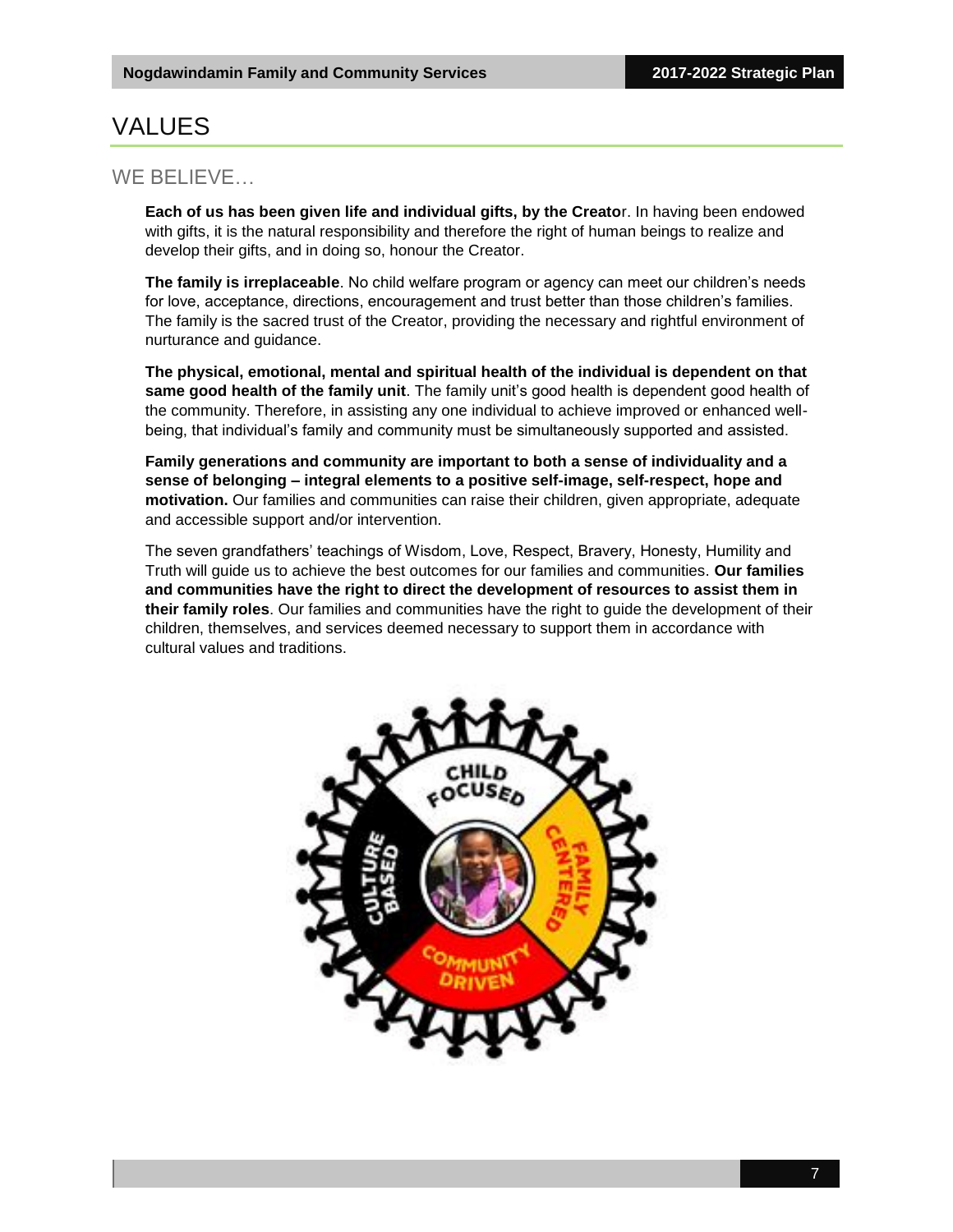### <span id="page-6-0"></span>VALUES

#### WE BELIEVE…

**Each of us has been given life and individual gifts, by the Creato**r. In having been endowed with gifts, it is the natural responsibility and therefore the right of human beings to realize and develop their gifts, and in doing so, honour the Creator.

**The family is irreplaceable**. No child welfare program or agency can meet our children's needs for love, acceptance, directions, encouragement and trust better than those children's families. The family is the sacred trust of the Creator, providing the necessary and rightful environment of nurturance and guidance.

**The physical, emotional, mental and spiritual health of the individual is dependent on that same good health of the family unit**. The family unit's good health is dependent good health of the community. Therefore, in assisting any one individual to achieve improved or enhanced wellbeing, that individual's family and community must be simultaneously supported and assisted.

**Family generations and community are important to both a sense of individuality and a sense of belonging – integral elements to a positive self-image, self-respect, hope and motivation.** Our families and communities can raise their children, given appropriate, adequate and accessible support and/or intervention.

The seven grandfathers' teachings of Wisdom, Love, Respect, Bravery, Honesty, Humility and Truth will guide us to achieve the best outcomes for our families and communities. **Our families and communities have the right to direct the development of resources to assist them in their family roles**. Our families and communities have the right to guide the development of their children, themselves, and services deemed necessary to support them in accordance with cultural values and traditions.

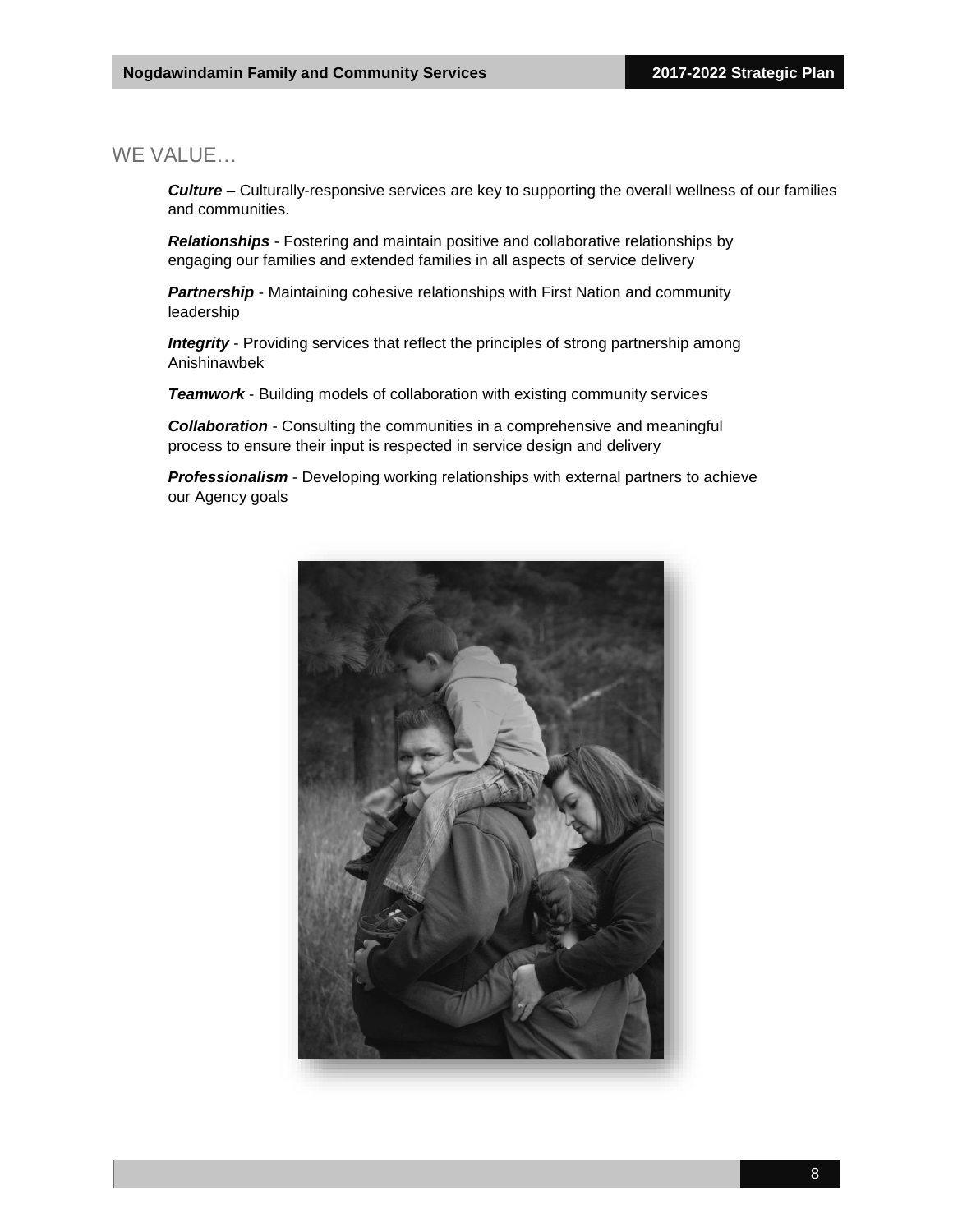#### WE VALUE…

*Culture –* Culturally-responsive services are key to supporting the overall wellness of our families and communities.

*Relationships* - Fostering and maintain positive and collaborative relationships by engaging our families and extended families in all aspects of service delivery

**Partnership** - Maintaining cohesive relationships with First Nation and community leadership

*Integrity* - Providing services that reflect the principles of strong partnership among Anishinawbek

*Teamwork* - Building models of collaboration with existing community services

*Collaboration* - Consulting the communities in a comprehensive and meaningful process to ensure their input is respected in service design and delivery

*Professionalism* - Developing working relationships with external partners to achieve our Agency goals

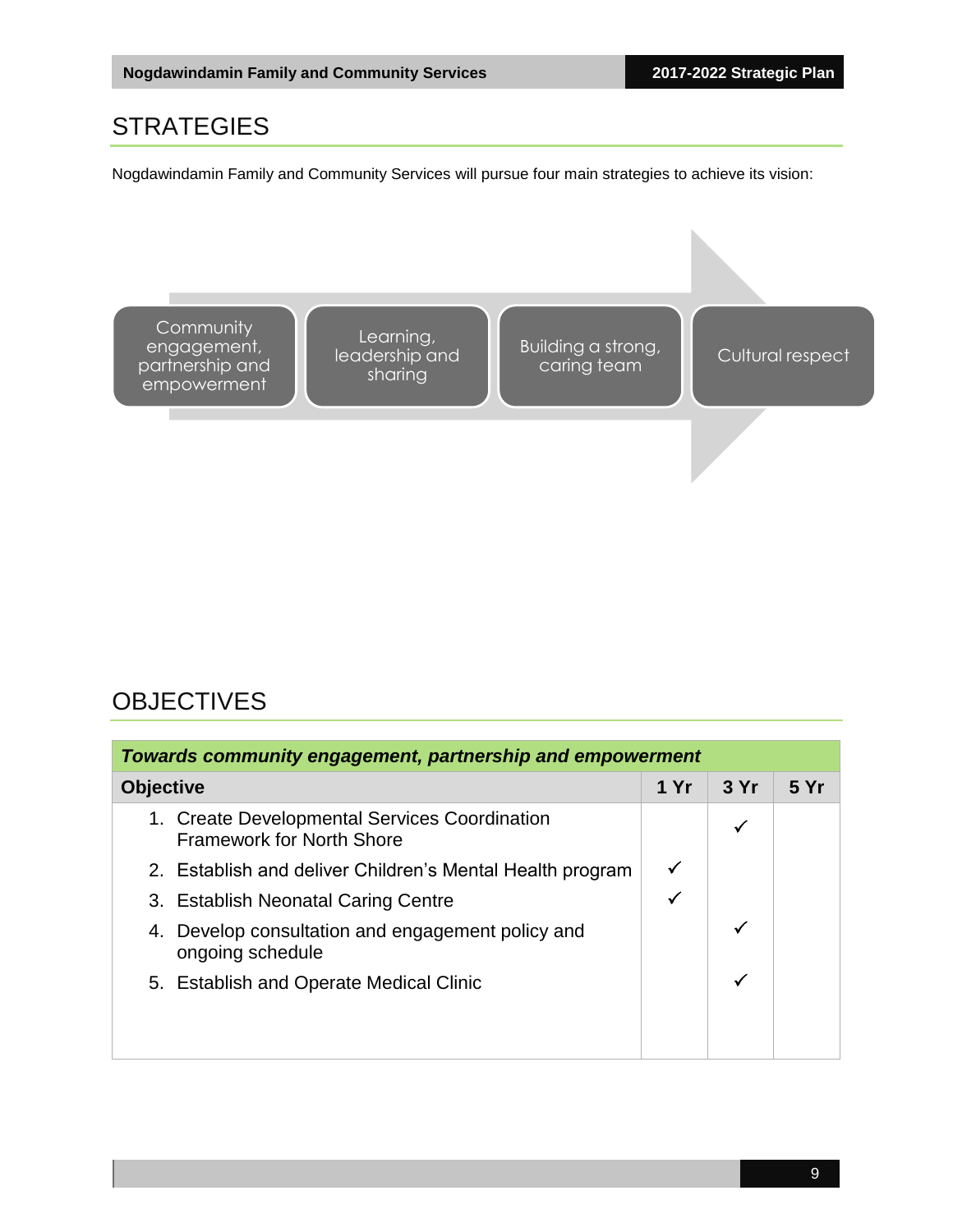#### <span id="page-8-0"></span>**STRATEGIES**

Nogdawindamin Family and Community Services will pursue four main strategies to achieve its vision:



### <span id="page-8-1"></span>**OBJECTIVES**

| Towards community engagement, partnership and empowerment                         |      |     |      |
|-----------------------------------------------------------------------------------|------|-----|------|
| <b>Objective</b>                                                                  | 1 Yr | 3Yr | 5 Yr |
| 1. Create Developmental Services Coordination<br><b>Framework for North Shore</b> |      | ✓   |      |
| 2. Establish and deliver Children's Mental Health program                         |      |     |      |
| 3. Establish Neonatal Caring Centre                                               |      |     |      |
| 4. Develop consultation and engagement policy and<br>ongoing schedule             |      | ✓   |      |
| 5. Establish and Operate Medical Clinic                                           |      | ✓   |      |
|                                                                                   |      |     |      |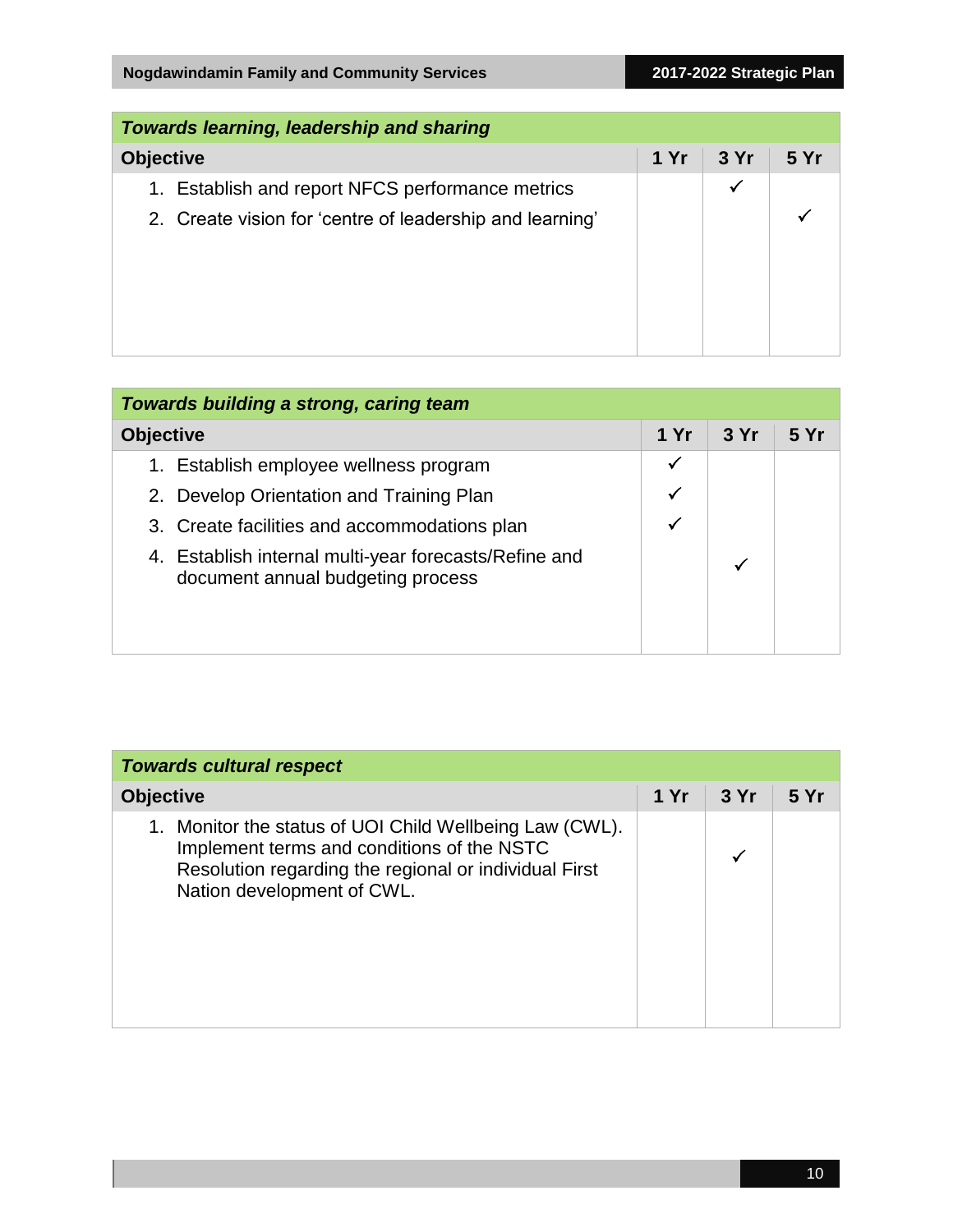| <b>Towards learning, leadership and sharing</b>          |      |      |      |
|----------------------------------------------------------|------|------|------|
| <b>Objective</b>                                         | 1 Yr | 3 Yr | 5 Yr |
| 1. Establish and report NFCS performance metrics         |      | ✔    |      |
| 2. Create vision for 'centre of leadership and learning' |      |      |      |
|                                                          |      |      |      |
|                                                          |      |      |      |
|                                                          |      |      |      |
|                                                          |      |      |      |

| Towards building a strong, caring team                                                     |      |     |      |
|--------------------------------------------------------------------------------------------|------|-----|------|
| <b>Objective</b>                                                                           | 1 Yr | 3Yr | 5 Yr |
| Establish employee wellness program<br>1.                                                  | ✓    |     |      |
| 2. Develop Orientation and Training Plan                                                   |      |     |      |
| 3. Create facilities and accommodations plan                                               |      |     |      |
| 4. Establish internal multi-year forecasts/Refine and<br>document annual budgeting process |      |     |      |
|                                                                                            |      |     |      |

| <b>Towards cultural respect</b>                                                                                                                                                                 |      |     |      |
|-------------------------------------------------------------------------------------------------------------------------------------------------------------------------------------------------|------|-----|------|
| <b>Objective</b>                                                                                                                                                                                | 1 Yr | 3Yr | 5 Yr |
| Monitor the status of UOI Child Wellbeing Law (CWL).<br>1.<br>Implement terms and conditions of the NSTC<br>Resolution regarding the regional or individual First<br>Nation development of CWL. |      |     |      |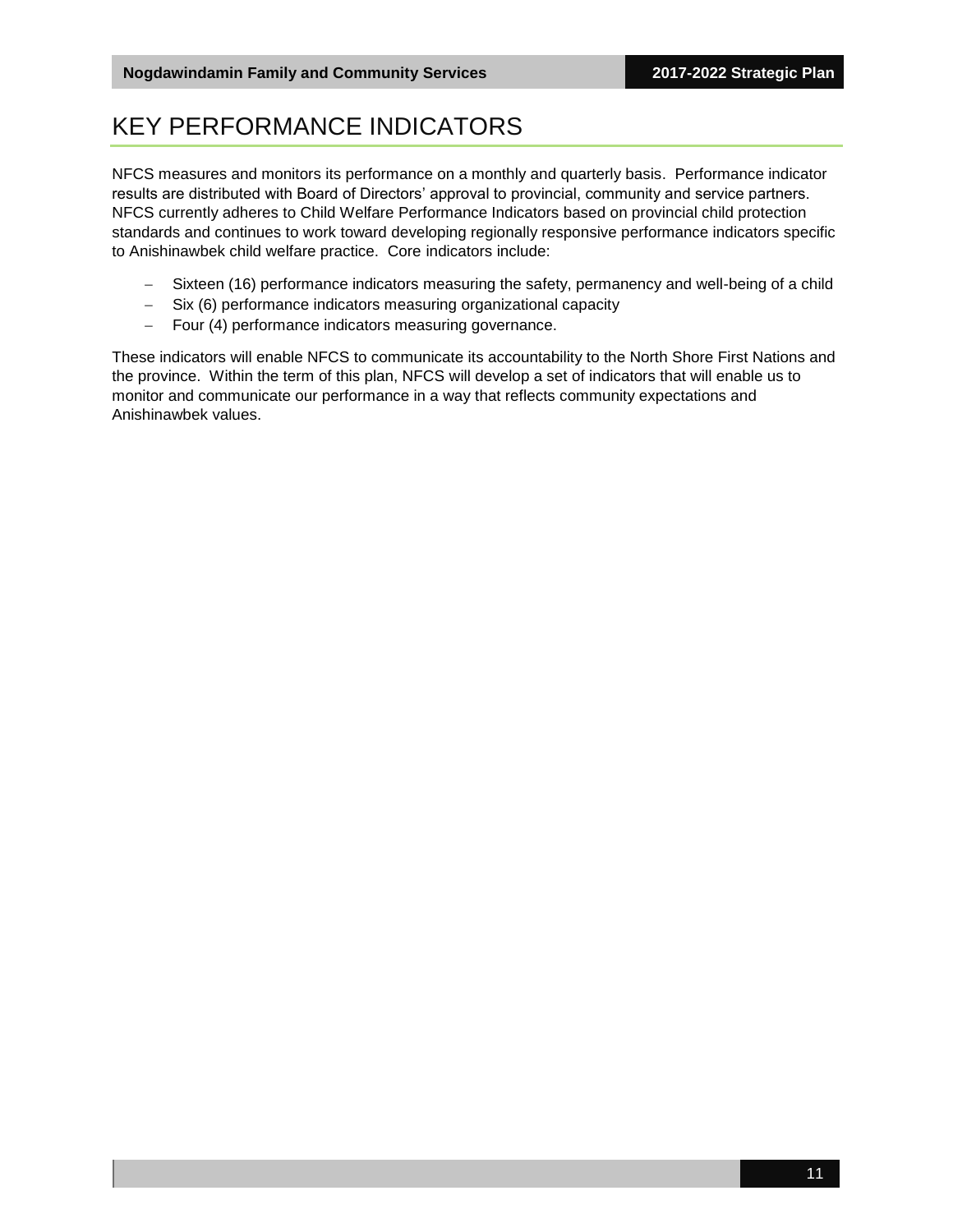### <span id="page-10-0"></span>KEY PERFORMANCE INDICATORS

NFCS measures and monitors its performance on a monthly and quarterly basis. Performance indicator results are distributed with Board of Directors' approval to provincial, community and service partners. NFCS currently adheres to Child Welfare Performance Indicators based on provincial child protection standards and continues to work toward developing regionally responsive performance indicators specific to Anishinawbek child welfare practice. Core indicators include:

- Sixteen (16) performance indicators measuring the safety, permanency and well-being of a child
- Six (6) performance indicators measuring organizational capacity
- Four (4) performance indicators measuring governance.

These indicators will enable NFCS to communicate its accountability to the North Shore First Nations and the province. Within the term of this plan, NFCS will develop a set of indicators that will enable us to monitor and communicate our performance in a way that reflects community expectations and Anishinawbek values.